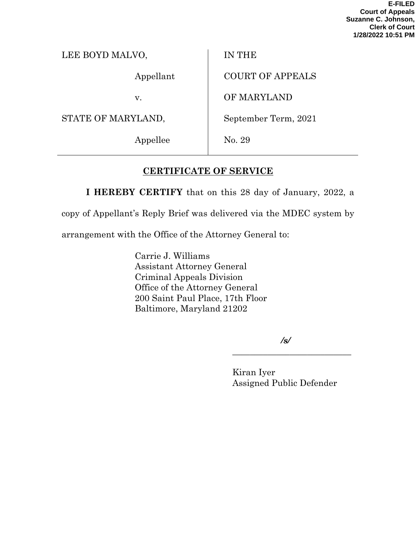**E-FILED Court of Appeals Suzanne C. Johnson, Clerk of Court 1/28/2022 10:51 PM**

| LEE BOYD MALVO, |  |
|-----------------|--|
|                 |  |

Appellant

v.

STATE OF MARYLAND,

Appellee

IN THE

COURT OF APPEALS

OF MARYLAND

September Term, 2021

No. 29

# **CERTIFICATE OF SERVICE**

**I HEREBY CERTIFY** that on this 28 day of January, 2022, a

copy of Appellant's Reply Brief was delivered via the MDEC system by

arrangement with the Office of the Attorney General to:

Carrie J. Williams Assistant Attorney General Criminal Appeals Division Office of the Attorney General 200 Saint Paul Place, 17th Floor Baltimore, Maryland 21202

*/s/*

\_\_\_\_\_\_\_\_\_\_\_\_\_\_\_\_\_\_\_\_\_\_\_\_\_\_\_

Kiran Iyer Assigned Public Defender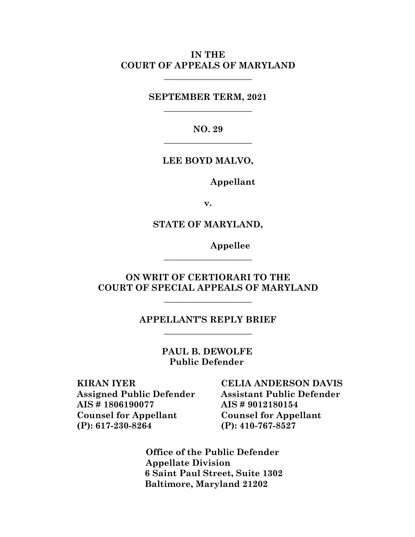### **IN THE COURT OF APPEALS OF MARYLAND**

**\_\_\_\_\_\_\_\_\_\_\_\_\_\_\_\_\_\_\_\_**

**SEPTEMBER TERM, 2021 \_\_\_\_\_\_\_\_\_\_\_\_\_\_\_\_\_\_\_\_**

> **NO. 29 \_\_\_\_\_\_\_\_\_\_\_\_\_\_\_\_\_\_\_\_**

**LEE BOYD MALVO,**

**Appellant**

**v.**

**STATE OF MARYLAND,**

**Appellee**

**ON WRIT OF CERTIORARI TO THE COURT OF SPECIAL APPEALS OF MARYLAND**

**\_\_\_\_\_\_\_\_\_\_\_\_\_\_\_\_\_\_\_\_**

**\_\_\_\_\_\_\_\_\_\_\_\_\_\_\_\_\_\_\_\_**

**APPELLANT'S REPLY BRIEF \_\_\_\_\_\_\_\_\_\_\_\_\_\_\_\_\_\_\_\_**

> **PAUL B. DEWOLFE Public Defender**

**KIRAN IYER Assigned Public Defender AIS # 1806190077 Counsel for Appellant (P): 617-230-8264**

**CELIA ANDERSON DAVIS Assistant Public Defender AIS # 9012180154 Counsel for Appellant (P): 410-767-8527**

 **Office of the Public Defender Appellate Division 6 Saint Paul Street, Suite 1302 Baltimore, Maryland 21202**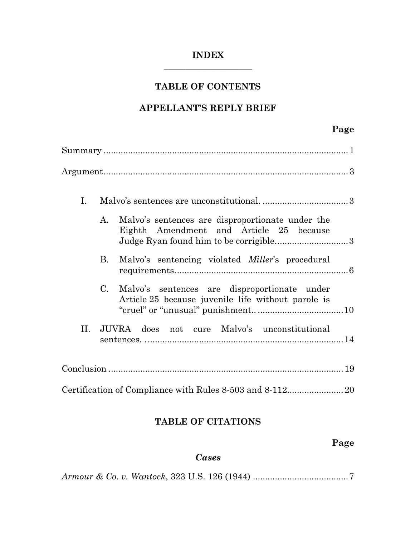## **INDEX \_\_\_\_\_\_\_\_\_\_\_\_\_\_\_\_\_\_\_\_**

# **TABLE OF CONTENTS**

# **APPELLANT'S REPLY BRIEF**

# **Page**

| Ι. |             |                                                                                                                                       |  |
|----|-------------|---------------------------------------------------------------------------------------------------------------------------------------|--|
|    | A.          | Malvo's sentences are disproportionate under the<br>Eighth Amendment and Article 25 because<br>Judge Ryan found him to be corrigible3 |  |
|    | <b>B.</b>   | Malvo's sentencing violated <i>Miller</i> 's procedural                                                                               |  |
|    | $C_{\cdot}$ | Malvo's sentences are disproportionate under<br>Article 25 because juvenile life without parole is                                    |  |
| П. |             | JUVRA does not cure Malvo's unconstitutional                                                                                          |  |
|    |             |                                                                                                                                       |  |
|    |             |                                                                                                                                       |  |

# **TABLE OF CITATIONS**

# **Page**

# *Cases*

*Armour & Co. v. Wantock*, 323 U.S. 126 (1944) .......................................7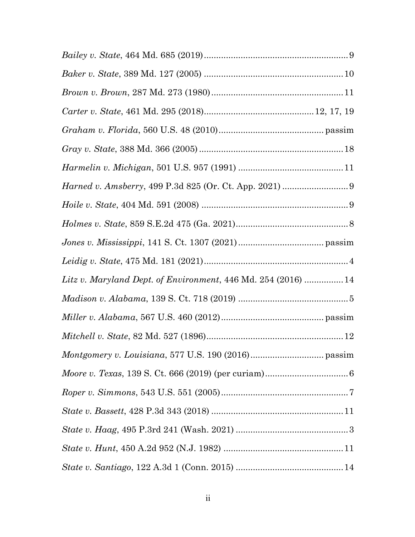| $Gray \;v. \;State, \,388 \;Md. \;366 \; (2005) \;.\nonumber\\  \;.\nonumber\\$ |  |
|---------------------------------------------------------------------------------|--|
|                                                                                 |  |
|                                                                                 |  |
|                                                                                 |  |
|                                                                                 |  |
|                                                                                 |  |
|                                                                                 |  |
| Litz v. Maryland Dept. of Environment, 446 Md. 254 (2016)  14                   |  |
|                                                                                 |  |
|                                                                                 |  |
|                                                                                 |  |
|                                                                                 |  |
|                                                                                 |  |
|                                                                                 |  |
|                                                                                 |  |
|                                                                                 |  |
|                                                                                 |  |
|                                                                                 |  |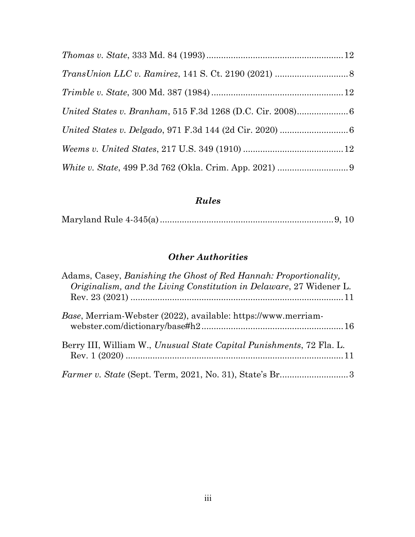# *Rules*

|--|--|--|--|--|

# *Other Authorities*

| Adams, Casey, Banishing the Ghost of Red Hannah: Proportionality,<br>Originalism, and the Living Constitution in Delaware, 27 Widener L. |
|------------------------------------------------------------------------------------------------------------------------------------------|
| Base, Merriam-Webster (2022), available: https://www.merriam-                                                                            |
| Berry III, William W., Unusual State Capital Punishments, 72 Fla. L.                                                                     |
|                                                                                                                                          |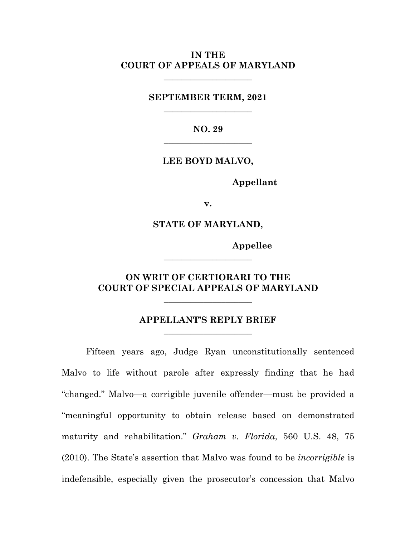#### **IN THE COURT OF APPEALS OF MARYLAND**

**\_\_\_\_\_\_\_\_\_\_\_\_\_\_\_\_\_\_\_\_**

**SEPTEMBER TERM, 2021 \_\_\_\_\_\_\_\_\_\_\_\_\_\_\_\_\_\_\_\_**

> **NO. 29 \_\_\_\_\_\_\_\_\_\_\_\_\_\_\_\_\_\_\_\_**

**LEE BOYD MALVO,**

**Appellant**

**v.**

**STATE OF MARYLAND,**

**Appellee**

### **ON WRIT OF CERTIORARI TO THE COURT OF SPECIAL APPEALS OF MARYLAND**

\_\_\_\_\_\_\_\_\_\_\_\_\_\_\_\_\_\_\_\_

**\_\_\_\_\_\_\_\_\_\_\_\_\_\_\_\_\_\_\_\_**

### **APPELLANT'S REPLY BRIEF** \_\_\_\_\_\_\_\_\_\_\_\_\_\_\_\_\_\_\_\_

Fifteen years ago, Judge Ryan unconstitutionally sentenced Malvo to life without parole after expressly finding that he had "changed." Malvo—a corrigible juvenile offender—must be provided a "meaningful opportunity to obtain release based on demonstrated maturity and rehabilitation." *Graham v. Florida*, 560 U.S. 48, 75 (2010). The State's assertion that Malvo was found to be *incorrigible* is indefensible, especially given the prosecutor's concession that Malvo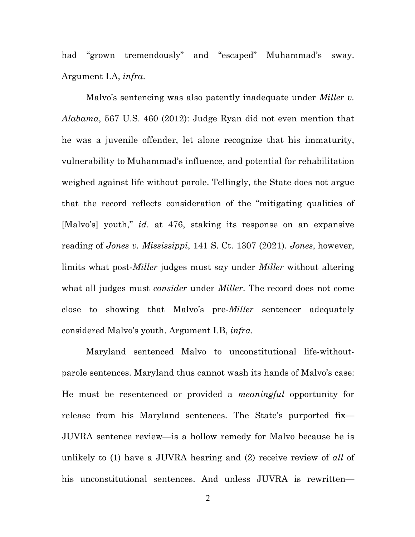had "grown tremendously" and "escaped" Muhammad's sway. Argument I.A, *infra*.

Malvo's sentencing was also patently inadequate under *Miller v. Alabama*, 567 U.S. 460 (2012): Judge Ryan did not even mention that he was a juvenile offender, let alone recognize that his immaturity, vulnerability to Muhammad's influence, and potential for rehabilitation weighed against life without parole. Tellingly, the State does not argue that the record reflects consideration of the "mitigating qualities of [Malvo's] youth," *id*. at 476, staking its response on an expansive reading of *Jones v. Mississippi*, 141 S. Ct. 1307 (2021). *Jones*, however, limits what post-*Miller* judges must *say* under *Miller* without altering what all judges must *consider* under *Miller*. The record does not come close to showing that Malvo's pre-*Miller* sentencer adequately considered Malvo's youth. Argument I.B, *infra*.

Maryland sentenced Malvo to unconstitutional life-withoutparole sentences. Maryland thus cannot wash its hands of Malvo's case: He must be resentenced or provided a *meaningful* opportunity for release from his Maryland sentences. The State's purported fix— JUVRA sentence review—is a hollow remedy for Malvo because he is unlikely to (1) have a JUVRA hearing and (2) receive review of *all* of his unconstitutional sentences. And unless JUVRA is rewritten—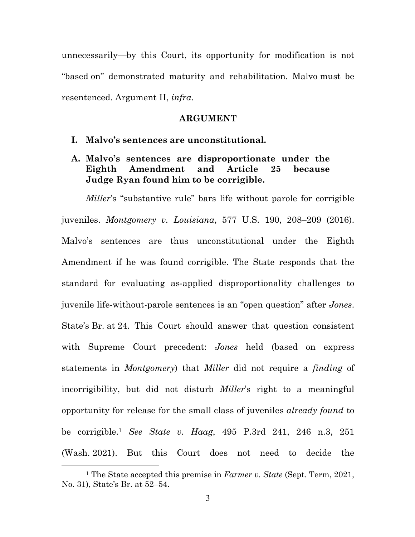unnecessarily—by this Court, its opportunity for modification is not "based on" demonstrated maturity and rehabilitation. Malvo must be resentenced. Argument II, *infra*.

#### **ARGUMENT**

- **I. Malvo's sentences are unconstitutional.**
- **A. Malvo's sentences are disproportionate under the Eighth Amendment and Article 25 because Judge Ryan found him to be corrigible.**

*Miller*'s "substantive rule" bars life without parole for corrigible juveniles. *Montgomery v. Louisiana*, 577 U.S. 190, 208–209 (2016). Malvo's sentences are thus unconstitutional under the Eighth Amendment if he was found corrigible. The State responds that the standard for evaluating as-applied disproportionality challenges to juvenile life-without-parole sentences is an "open question" after *Jones*. State's Br. at 24. This Court should answer that question consistent with Supreme Court precedent: *Jones* held (based on express statements in *Montgomery*) that *Miller* did not require a *finding* of incorrigibility, but did not disturb *Miller*'s right to a meaningful opportunity for release for the small class of juveniles *already found* to be corrigible.1 *See State v. Haag*, 495 P.3rd 241, 246 n.3, 251 (Wash. 2021). But this Court does not need to decide the

<sup>1</sup> The State accepted this premise in *Farmer v. State* (Sept. Term, 2021, No. 31), State's Br. at 52–54.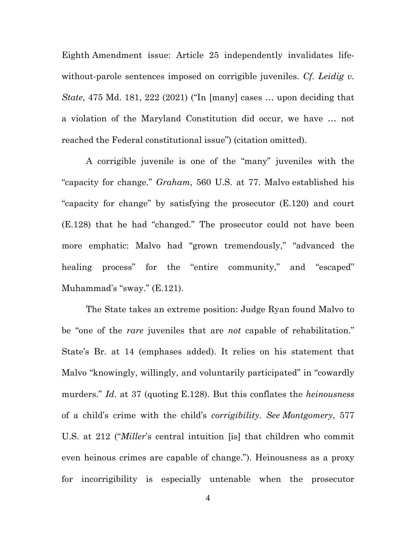Eighth Amendment issue: Article 25 independently invalidates lifewithout-parole sentences imposed on corrigible juveniles. *Cf. Leidig v. State*, 475 Md. 181, 222 (2021) ("In [many] cases … upon deciding that a violation of the Maryland Constitution did occur, we have … not reached the Federal constitutional issue") (citation omitted).

A corrigible juvenile is one of the "many" juveniles with the "capacity for change." *Graham*, 560 U.S. at 77. Malvo established his "capacity for change" by satisfying the prosecutor (E.120) and court (E.128) that he had "changed." The prosecutor could not have been more emphatic: Malvo had "grown tremendously," "advanced the healing process" for the "entire community," and "escaped" Muhammad's "sway." (E.121).

The State takes an extreme position: Judge Ryan found Malvo to be "one of the *rare* juveniles that are *not* capable of rehabilitation." State's Br. at 14 (emphases added). It relies on his statement that Malvo "knowingly, willingly, and voluntarily participated" in "cowardly murders." *Id*. at 37 (quoting E.128). But this conflates the *heinousness* of a child's crime with the child's *corrigibility*. *See Montgomery*, 577 U.S. at 212 ("*Miller*'s central intuition [is] that children who commit even heinous crimes are capable of change."). Heinousness as a proxy for incorrigibility is especially untenable when the prosecutor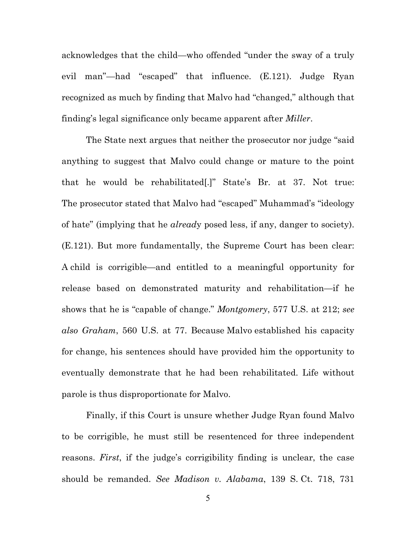acknowledges that the child—who offended "under the sway of a truly evil man"—had "escaped" that influence. (E.121). Judge Ryan recognized as much by finding that Malvo had "changed," although that finding's legal significance only became apparent after *Miller*.

The State next argues that neither the prosecutor nor judge "said anything to suggest that Malvo could change or mature to the point that he would be rehabilitated[.]" State's Br. at 37. Not true: The prosecutor stated that Malvo had "escaped" Muhammad's "ideology of hate" (implying that he *alread*y posed less, if any, danger to society). (E.121). But more fundamentally, the Supreme Court has been clear: A child is corrigible—and entitled to a meaningful opportunity for release based on demonstrated maturity and rehabilitation—if he shows that he is "capable of change." *Montgomery*, 577 U.S. at 212; *see also Graham*, 560 U.S. at 77. Because Malvo established his capacity for change, his sentences should have provided him the opportunity to eventually demonstrate that he had been rehabilitated. Life without parole is thus disproportionate for Malvo.

Finally, if this Court is unsure whether Judge Ryan found Malvo to be corrigible, he must still be resentenced for three independent reasons. *First*, if the judge's corrigibility finding is unclear, the case should be remanded. *See Madison v. Alabama*, 139 S. Ct. 718, 731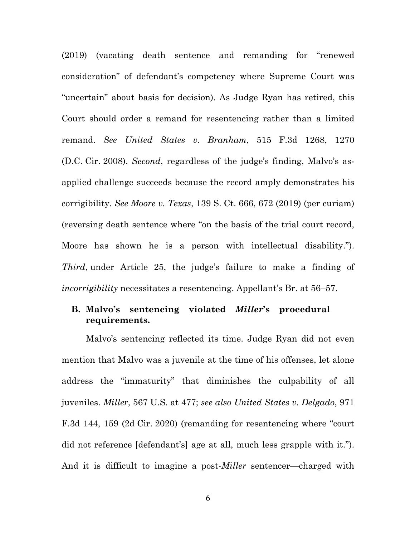(2019) (vacating death sentence and remanding for "renewed consideration" of defendant's competency where Supreme Court was "uncertain" about basis for decision). As Judge Ryan has retired, this Court should order a remand for resentencing rather than a limited remand. *See United States v. Branham*, 515 F.3d 1268, 1270 (D.C. Cir. 2008). *Second*, regardless of the judge's finding, Malvo's asapplied challenge succeeds because the record amply demonstrates his corrigibility. *See Moore v. Texas*, 139 S. Ct. 666, 672 (2019) (per curiam) (reversing death sentence where "on the basis of the trial court record, Moore has shown he is a person with intellectual disability."). *Third*, under Article 25, the judge's failure to make a finding of *incorrigibility* necessitates a resentencing. Appellant's Br. at 56–57.

# **B. Malvo's sentencing violated** *Miller***'s procedural requirements.**

Malvo's sentencing reflected its time. Judge Ryan did not even mention that Malvo was a juvenile at the time of his offenses, let alone address the "immaturity" that diminishes the culpability of all juveniles. *Miller*, 567 U.S. at 477; *see also United States v. Delgado*, 971 F.3d 144, 159 (2d Cir. 2020) (remanding for resentencing where "court did not reference [defendant's] age at all, much less grapple with it."). And it is difficult to imagine a post-*Miller* sentencer—charged with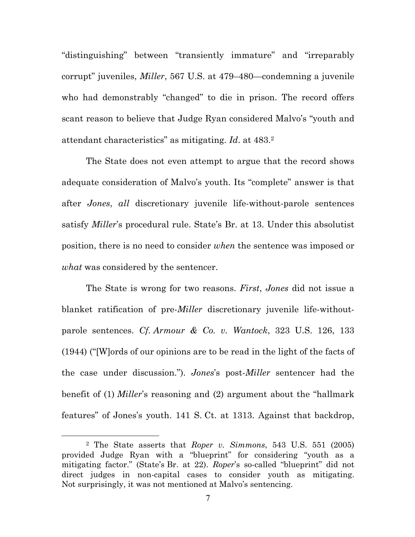"distinguishing" between "transiently immature" and "irreparably corrupt" juveniles, *Miller*, 567 U.S. at 479–480—condemning a juvenile who had demonstrably "changed" to die in prison. The record offers scant reason to believe that Judge Ryan considered Malvo's "youth and attendant characteristics" as mitigating. *Id*. at 483. 2

The State does not even attempt to argue that the record shows adequate consideration of Malvo's youth. Its "complete" answer is that after *Jones*, *all* discretionary juvenile life-without-parole sentences satisfy *Miller*'s procedural rule. State's Br. at 13. Under this absolutist position, there is no need to consider *when* the sentence was imposed or *what* was considered by the sentencer.

The State is wrong for two reasons. *First*, *Jones* did not issue a blanket ratification of pre-*Miller* discretionary juvenile life-withoutparole sentences. *Cf. Armour & Co. v. Wantock*, 323 U.S. 126, 133 (1944) ("[W]ords of our opinions are to be read in the light of the facts of the case under discussion."). *Jones*'s post-*Miller* sentencer had the benefit of (1) *Miller*'s reasoning and (2) argument about the "hallmark features" of Jones's youth. 141 S. Ct. at 1313. Against that backdrop,

<sup>2</sup> The State asserts that *Roper v. Simmons*, 543 U.S. 551 (2005) provided Judge Ryan with a "blueprint" for considering "youth as a mitigating factor." (State's Br. at 22). *Roper*'s so-called "blueprint" did not direct judges in non-capital cases to consider youth as mitigating. Not surprisingly, it was not mentioned at Malvo's sentencing.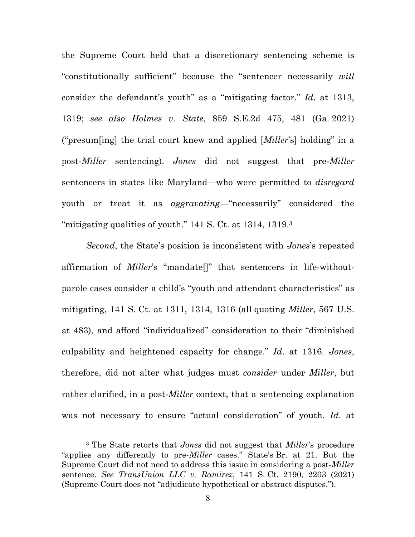the Supreme Court held that a discretionary sentencing scheme is "constitutionally sufficient" because the "sentencer necessarily *will*  consider the defendant's youth" as a "mitigating factor." *Id*. at 1313, 1319; *see also Holmes v. State*, 859 S.E.2d 475, 481 (Ga. 2021) ("presum[ing] the trial court knew and applied [*Miller*'s] holding" in a post-*Miller* sentencing). *Jones* did not suggest that pre-*Miller* sentencers in states like Maryland—who were permitted to *disregard* youth or treat it as *aggravating*—"necessarily" considered the "mitigating qualities of youth." 141 S. Ct. at 1314, 1319.3

*Second*, the State's position is inconsistent with *Jones*'s repeated affirmation of *Miller*'s "mandate[]" that sentencers in life-withoutparole cases consider a child's "youth and attendant characteristics" as mitigating, 141 S. Ct. at 1311, 1314, 1316 (all quoting *Miller*, 567 U.S. at 483), and afford "individualized" consideration to their "diminished culpability and heightened capacity for change." *Id*. at 1316. *Jones*, therefore, did not alter what judges must *consider* under *Miller*, but rather clarified, in a post-*Miller* context, that a sentencing explanation was not necessary to ensure "actual consideration" of youth. *Id*. at

<sup>3</sup> The State retorts that *Jones* did not suggest that *Miller*'s procedure "applies any differently to pre-*Miller* cases." State's Br. at 21. But the Supreme Court did not need to address this issue in considering a post-*Miller* sentence. *See TransUnion LLC v. Ramirez*, 141 S. Ct. 2190, 2203 (2021) (Supreme Court does not "adjudicate hypothetical or abstract disputes.").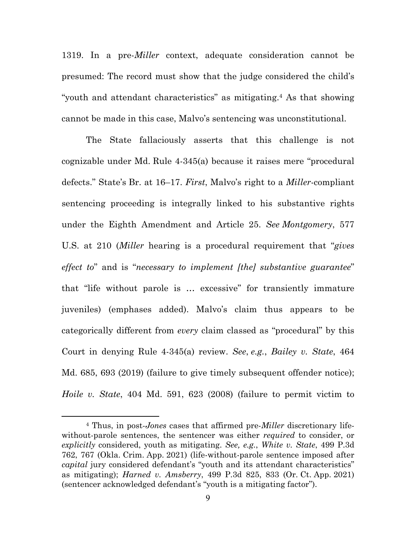1319. In a pre-*Miller* context, adequate consideration cannot be presumed: The record must show that the judge considered the child's "youth and attendant characteristics" as mitigating.4 As that showing cannot be made in this case, Malvo's sentencing was unconstitutional.

The State fallaciously asserts that this challenge is not cognizable under Md. Rule 4-345(a) because it raises mere "procedural defects." State's Br. at 16–17. *First*, Malvo's right to a *Miller*-compliant sentencing proceeding is integrally linked to his substantive rights under the Eighth Amendment and Article 25. *See Montgomery*, 577 U.S. at 210 (*Miller* hearing is a procedural requirement that "*gives effect to*" and is "*necessary to implement [the] substantive guarantee*" that "life without parole is … excessive" for transiently immature juveniles) (emphases added). Malvo's claim thus appears to be categorically different from *every* claim classed as "procedural" by this Court in denying Rule 4-345(a) review. *See*, *e.g.*, *Bailey v. State*, 464 Md. 685, 693 (2019) (failure to give timely subsequent offender notice); *Hoile v. State*, 404 Md. 591, 623 (2008) (failure to permit victim to

<sup>4</sup> Thus, in post-*Jones* cases that affirmed pre-*Miller* discretionary lifewithout-parole sentences, the sentencer was either *required* to consider, or *explicitly* considered, youth as mitigating. *See, e.g.*, *White v. State*, 499 P.3d 762, 767 (Okla. Crim. App. 2021) (life-without-parole sentence imposed after *capital* jury considered defendant's "youth and its attendant characteristics" as mitigating); *Harned v. Amsberry*, 499 P.3d 825, 833 (Or. Ct. App. 2021) (sentencer acknowledged defendant's "youth is a mitigating factor").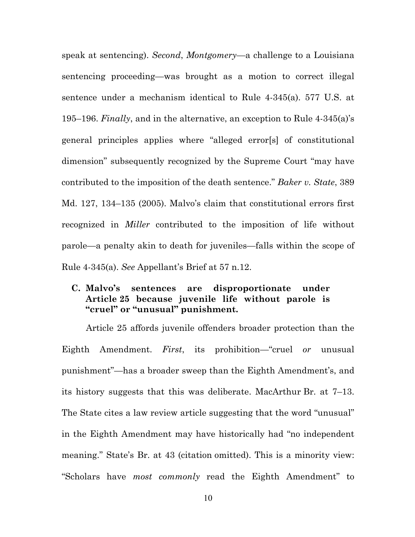speak at sentencing). *Second*, *Montgomery*—a challenge to a Louisiana sentencing proceeding—was brought as a motion to correct illegal sentence under a mechanism identical to Rule 4-345(a). 577 U.S. at 195–196. *Finally*, and in the alternative, an exception to Rule 4-345(a)'s general principles applies where "alleged error[s] of constitutional dimension" subsequently recognized by the Supreme Court "may have contributed to the imposition of the death sentence." *Baker v. State*, 389 Md. 127, 134–135 (2005). Malvo's claim that constitutional errors first recognized in *Miller* contributed to the imposition of life without parole—a penalty akin to death for juveniles—falls within the scope of Rule 4-345(a). *See* Appellant's Brief at 57 n.12.

### **C. Malvo's sentences are disproportionate under Article 25 because juvenile life without parole is "cruel" or "unusual" punishment.**

Article 25 affords juvenile offenders broader protection than the Eighth Amendment. *First*, its prohibition—"cruel *or* unusual punishment"—has a broader sweep than the Eighth Amendment's, and its history suggests that this was deliberate. MacArthur Br. at 7–13. The State cites a law review article suggesting that the word "unusual" in the Eighth Amendment may have historically had "no independent meaning." State's Br. at 43 (citation omitted). This is a minority view: "Scholars have *most commonly* read the Eighth Amendment" to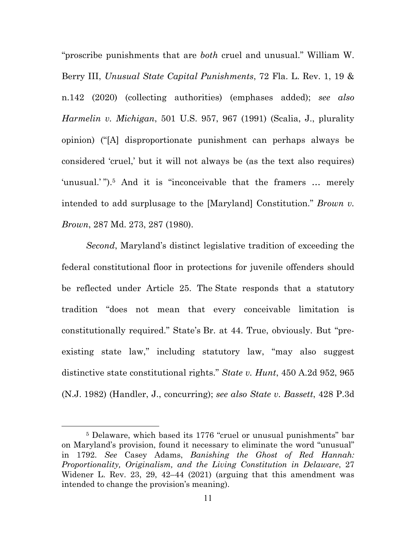"proscribe punishments that are *both* cruel and unusual." William W. Berry III, *Unusual State Capital Punishments*, 72 Fla. L. Rev. 1, 19 & n.142 (2020) (collecting authorities) (emphases added); *see also Harmelin v. Michigan*, 501 U.S. 957, 967 (1991) (Scalia, J., plurality opinion) ("[A] disproportionate punishment can perhaps always be considered 'cruel,' but it will not always be (as the text also requires) 'unusual.'").<sup>5</sup> And it is "inconceivable that the framers ... merely intended to add surplusage to the [Maryland] Constitution." *Brown v. Brown*, 287 Md. 273, 287 (1980).

*Second*, Maryland's distinct legislative tradition of exceeding the federal constitutional floor in protections for juvenile offenders should be reflected under Article 25. The State responds that a statutory tradition "does not mean that every conceivable limitation is constitutionally required." State's Br. at 44. True, obviously. But "preexisting state law," including statutory law, "may also suggest distinctive state constitutional rights." *State v. Hunt*, 450 A.2d 952, 965 (N.J. 1982) (Handler, J., concurring); *see also State v. Bassett*, 428 P.3d

<sup>5</sup> Delaware, which based its 1776 "cruel or unusual punishments" bar on Maryland's provision, found it necessary to eliminate the word "unusual" in 1792. *See* Casey Adams, *Banishing the Ghost of Red Hannah: Proportionality, Originalism, and the Living Constitution in Delaware*, 27 Widener L. Rev. 23, 29, 42–44 (2021) (arguing that this amendment was intended to change the provision's meaning).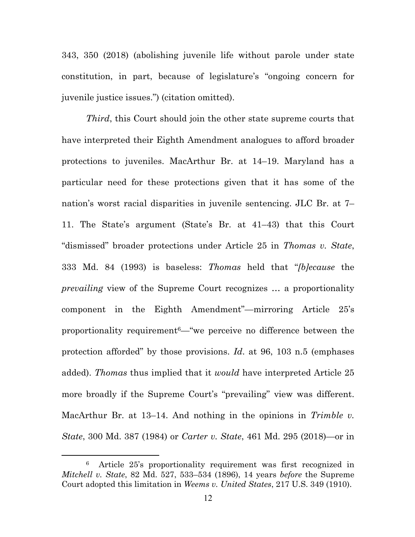343, 350 (2018) (abolishing juvenile life without parole under state constitution, in part, because of legislature's "ongoing concern for juvenile justice issues.") (citation omitted).

*Third*, this Court should join the other state supreme courts that have interpreted their Eighth Amendment analogues to afford broader protections to juveniles. MacArthur Br. at 14–19. Maryland has a particular need for these protections given that it has some of the nation's worst racial disparities in juvenile sentencing. JLC Br. at 7– 11. The State's argument (State's Br. at 41–43) that this Court "dismissed" broader protections under Article 25 in *Thomas v. State*, 333 Md. 84 (1993) is baseless: *Thomas* held that "*[b]ecause* the *prevailing* view of the Supreme Court recognizes … a proportionality component in the Eighth Amendment"—mirroring Article 25's proportionality requirement  $-$  we perceive no difference between the protection afforded" by those provisions. *Id*. at 96, 103 n.5 (emphases added). *Thomas* thus implied that it *would* have interpreted Article 25 more broadly if the Supreme Court's "prevailing" view was different. MacArthur Br. at 13–14. And nothing in the opinions in *Trimble v. State*, 300 Md. 387 (1984) or *Carter v. State*, 461 Md. 295 (2018)—or in

<sup>6</sup> Article 25's proportionality requirement was first recognized in *Mitchell v. State*, 82 Md. 527, 533–534 (1896), 14 years *before* the Supreme Court adopted this limitation in *Weems v. United States*, 217 U.S. 349 (1910).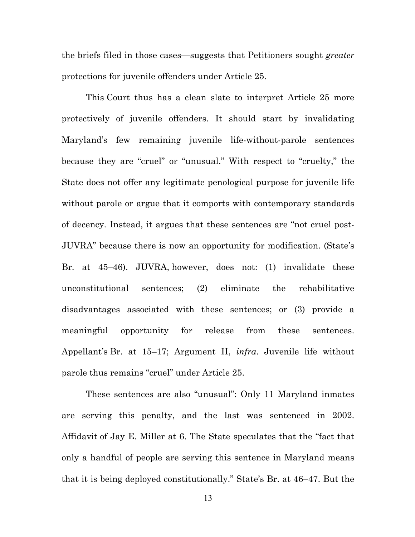the briefs filed in those cases—suggests that Petitioners sought *greater* protections for juvenile offenders under Article 25.

This Court thus has a clean slate to interpret Article 25 more protectively of juvenile offenders. It should start by invalidating Maryland's few remaining juvenile life-without-parole sentences because they are "cruel" or "unusual." With respect to "cruelty," the State does not offer any legitimate penological purpose for juvenile life without parole or argue that it comports with contemporary standards of decency. Instead, it argues that these sentences are "not cruel post-JUVRA" because there is now an opportunity for modification. (State's Br. at 45–46). JUVRA, however, does not: (1) invalidate these unconstitutional sentences; (2) eliminate the rehabilitative disadvantages associated with these sentences; or (3) provide a meaningful opportunity for release from these sentences. Appellant's Br. at 15–17; Argument II, *infra*. Juvenile life without parole thus remains "cruel" under Article 25.

These sentences are also "unusual": Only 11 Maryland inmates are serving this penalty, and the last was sentenced in 2002. Affidavit of Jay E. Miller at 6. The State speculates that the "fact that only a handful of people are serving this sentence in Maryland means that it is being deployed constitutionally." State's Br. at 46–47. But the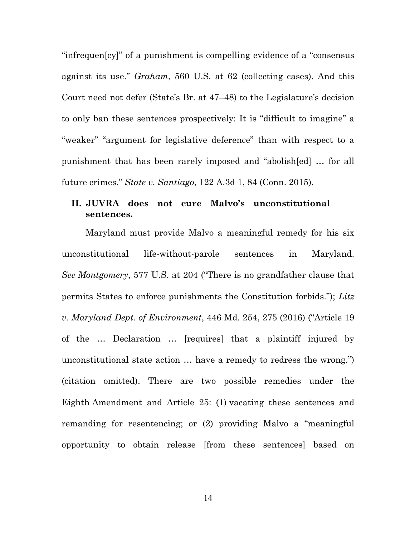"infrequen[cy]" of a punishment is compelling evidence of a "consensus against its use." *Graham*, 560 U.S. at 62 (collecting cases). And this Court need not defer (State's Br. at 47–48) to the Legislature's decision to only ban these sentences prospectively: It is "difficult to imagine" a "weaker" "argument for legislative deference" than with respect to a punishment that has been rarely imposed and "abolish[ed] … for all future crimes." *State v. Santiago*, 122 A.3d 1, 84 (Conn. 2015).

## **II. JUVRA does not cure Malvo's unconstitutional sentences.**

Maryland must provide Malvo a meaningful remedy for his six unconstitutional life-without-parole sentences in Maryland. *See Montgomery*, 577 U.S. at 204 ("There is no grandfather clause that permits States to enforce punishments the Constitution forbids."); *Litz v. Maryland Dept. of Environment*, 446 Md. 254, 275 (2016) ("Article 19 of the … Declaration … [requires] that a plaintiff injured by unconstitutional state action … have a remedy to redress the wrong.") (citation omitted). There are two possible remedies under the Eighth Amendment and Article 25: (1) vacating these sentences and remanding for resentencing; or (2) providing Malvo a "meaningful opportunity to obtain release [from these sentences] based on

14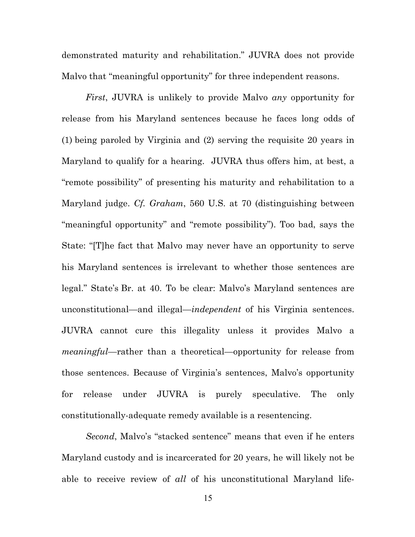demonstrated maturity and rehabilitation." JUVRA does not provide Malvo that "meaningful opportunity" for three independent reasons.

*First*, JUVRA is unlikely to provide Malvo *any* opportunity for release from his Maryland sentences because he faces long odds of (1) being paroled by Virginia and (2) serving the requisite 20 years in Maryland to qualify for a hearing. JUVRA thus offers him, at best, a "remote possibility" of presenting his maturity and rehabilitation to a Maryland judge. *Cf. Graham*, 560 U.S. at 70 (distinguishing between "meaningful opportunity" and "remote possibility"). Too bad, says the State: "[T]he fact that Malvo may never have an opportunity to serve his Maryland sentences is irrelevant to whether those sentences are legal." State's Br. at 40. To be clear: Malvo's Maryland sentences are unconstitutional—and illegal—*independent* of his Virginia sentences. JUVRA cannot cure this illegality unless it provides Malvo a *meaningful*—rather than a theoretical—opportunity for release from those sentences. Because of Virginia's sentences, Malvo's opportunity for release under JUVRA is purely speculative. The only constitutionally-adequate remedy available is a resentencing.

*Second*, Malvo's "stacked sentence" means that even if he enters Maryland custody and is incarcerated for 20 years, he will likely not be able to receive review of *all* of his unconstitutional Maryland life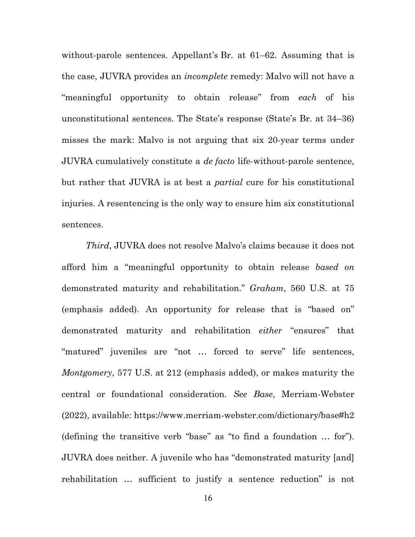without-parole sentences. Appellant's Br. at 61–62. Assuming that is the case, JUVRA provides an *incomplete* remedy: Malvo will not have a "meaningful opportunity to obtain release" from *each* of his unconstitutional sentences. The State's response (State's Br. at 34–36) misses the mark: Malvo is not arguing that six 20-year terms under JUVRA cumulatively constitute a *de facto* life-without-parole sentence, but rather that JUVRA is at best a *partial* cure for his constitutional injuries. A resentencing is the only way to ensure him six constitutional sentences.

*Third*, JUVRA does not resolve Malvo's claims because it does not afford him a "meaningful opportunity to obtain release *based on* demonstrated maturity and rehabilitation." *Graham*, 560 U.S. at 75 (emphasis added). An opportunity for release that is "based on" demonstrated maturity and rehabilitation *either* "ensures" that "matured" juveniles are "not … forced to serve" life sentences, *Montgomery*, 577 U.S. at 212 (emphasis added), or makes maturity the central or foundational consideration. *See Base*, Merriam-Webster (2022), available: https://www.merriam-webster.com/dictionary/base#h2 (defining the transitive verb "base" as "to find a foundation … for"). JUVRA does neither. A juvenile who has "demonstrated maturity [and] rehabilitation … sufficient to justify a sentence reduction" is not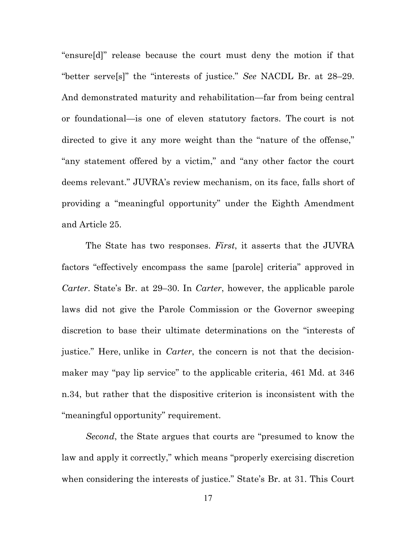"ensure[d]" release because the court must deny the motion if that "better serve[s]" the "interests of justice." *See* NACDL Br. at 28–29. And demonstrated maturity and rehabilitation—far from being central or foundational—is one of eleven statutory factors. The court is not directed to give it any more weight than the "nature of the offense," "any statement offered by a victim," and "any other factor the court deems relevant." JUVRA's review mechanism, on its face, falls short of providing a "meaningful opportunity" under the Eighth Amendment and Article 25.

The State has two responses. *First*, it asserts that the JUVRA factors "effectively encompass the same [parole] criteria" approved in *Carter*. State's Br. at 29–30. In *Carter*, however, the applicable parole laws did not give the Parole Commission or the Governor sweeping discretion to base their ultimate determinations on the "interests of justice." Here, unlike in *Carter*, the concern is not that the decisionmaker may "pay lip service" to the applicable criteria, 461 Md. at 346 n.34, but rather that the dispositive criterion is inconsistent with the "meaningful opportunity" requirement.

*Second*, the State argues that courts are "presumed to know the law and apply it correctly," which means "properly exercising discretion when considering the interests of justice." State's Br. at 31. This Court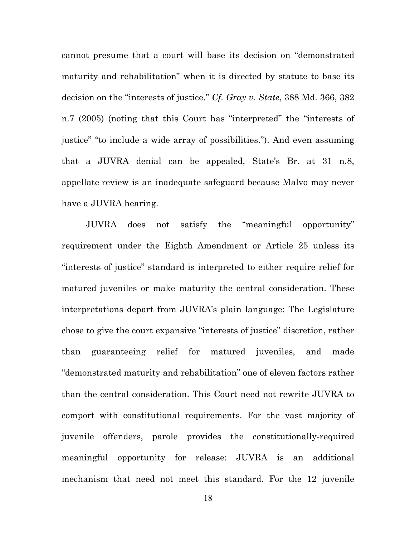cannot presume that a court will base its decision on "demonstrated maturity and rehabilitation" when it is directed by statute to base its decision on the "interests of justice." *Cf. Gray v. State*, 388 Md. 366, 382 n.7 (2005) (noting that this Court has "interpreted" the "interests of justice" "to include a wide array of possibilities."). And even assuming that a JUVRA denial can be appealed, State's Br. at 31 n.8, appellate review is an inadequate safeguard because Malvo may never have a JUVRA hearing.

JUVRA does not satisfy the "meaningful opportunity" requirement under the Eighth Amendment or Article 25 unless its "interests of justice" standard is interpreted to either require relief for matured juveniles or make maturity the central consideration. These interpretations depart from JUVRA's plain language: The Legislature chose to give the court expansive "interests of justice" discretion, rather than guaranteeing relief for matured juveniles, and made "demonstrated maturity and rehabilitation" one of eleven factors rather than the central consideration. This Court need not rewrite JUVRA to comport with constitutional requirements. For the vast majority of juvenile offenders, parole provides the constitutionally-required meaningful opportunity for release: JUVRA is an additional mechanism that need not meet this standard. For the 12 juvenile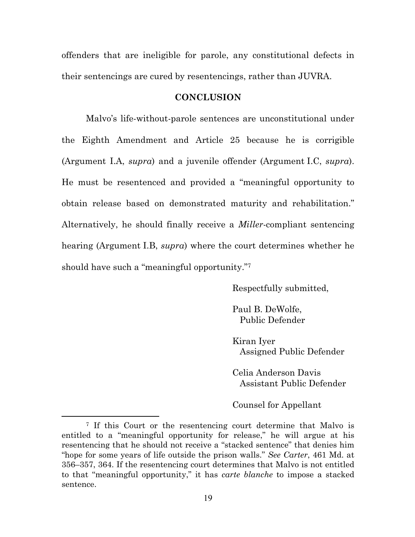offenders that are ineligible for parole, any constitutional defects in their sentencings are cured by resentencings, rather than JUVRA.

#### **CONCLUSION**

Malvo's life-without-parole sentences are unconstitutional under the Eighth Amendment and Article 25 because he is corrigible (Argument I.A, *supra*) and a juvenile offender (Argument I.C, *supra*). He must be resentenced and provided a "meaningful opportunity to obtain release based on demonstrated maturity and rehabilitation." Alternatively, he should finally receive a *Miller*-compliant sentencing hearing (Argument I.B, *supra*) where the court determines whether he should have such a "meaningful opportunity."7

Respectfully submitted,

Paul B. DeWolfe, Public Defender

Kiran Iyer Assigned Public Defender

Celia Anderson Davis Assistant Public Defender

Counsel for Appellant

<sup>7</sup> If this Court or the resentencing court determine that Malvo is entitled to a "meaningful opportunity for release," he will argue at his resentencing that he should not receive a "stacked sentence" that denies him "hope for some years of life outside the prison walls." *See Carter*, 461 Md. at 356–357, 364. If the resentencing court determines that Malvo is not entitled to that "meaningful opportunity," it has *carte blanche* to impose a stacked sentence.